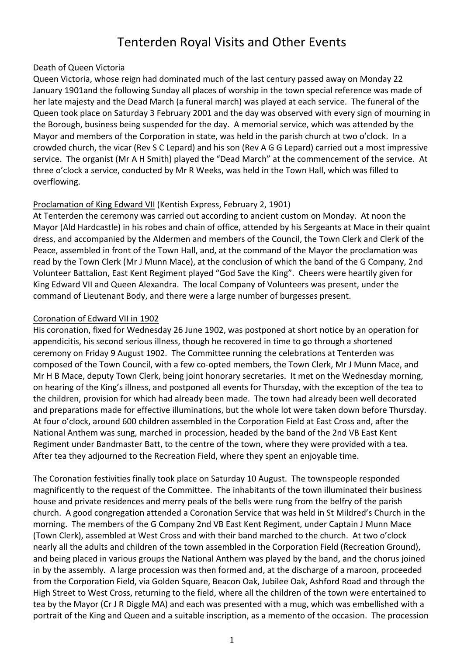# Tenterden Royal Visits and Other Events

# Death of Queen Victoria

Queen Victoria, whose reign had dominated much of the last century passed away on Monday 22 January 1901and the following Sunday all places of worship in the town special reference was made of her late majesty and the Dead March (a funeral march) was played at each service. The funeral of the Queen took place on Saturday 3 February 2001 and the day was observed with every sign of mourning in the Borough, business being suspended for the day. A memorial service, which was attended by the Mayor and members of the Corporation in state, was held in the parish church at two o'clock. In a crowded church, the vicar (Rev S C Lepard) and his son (Rev A G G Lepard) carried out a most impressive service. The organist (Mr A H Smith) played the "Dead March" at the commencement of the service. At three o'clock a service, conducted by Mr R Weeks, was held in the Town Hall, which was filled to overflowing.

# Proclamation of King Edward VII (Kentish Express, February 2, 1901)

At Tenterden the ceremony was carried out according to ancient custom on Monday. At noon the Mayor (Ald Hardcastle) in his robes and chain of office, attended by his Sergeants at Mace in their quaint dress, and accompanied by the Aldermen and members of the Council, the Town Clerk and Clerk of the Peace, assembled in front of the Town Hall, and, at the command of the Mayor the proclamation was read by the Town Clerk (Mr J Munn Mace), at the conclusion of which the band of the G Company, 2nd Volunteer Battalion, East Kent Regiment played "God Save the King". Cheers were heartily given for King Edward VII and Queen Alexandra. The local Company of Volunteers was present, under the command of Lieutenant Body, and there were a large number of burgesses present.

# Coronation of Edward VII in 1902

His coronation, fixed for Wednesday 26 June 1902, was postponed at short notice by an operation for appendicitis, his second serious illness, though he recovered in time to go through a shortened ceremony on Friday 9 August 1902. The Committee running the celebrations at Tenterden was composed of the Town Council, with a few co-opted members, the Town Clerk, Mr J Munn Mace, and Mr H B Mace, deputy Town Clerk, being joint honorary secretaries. It met on the Wednesday morning, on hearing of the King's illness, and postponed all events for Thursday, with the exception of the tea to the children, provision for which had already been made. The town had already been well decorated and preparations made for effective illuminations, but the whole lot were taken down before Thursday. At four o'clock, around 600 children assembled in the Corporation Field at East Cross and, after the National Anthem was sung, marched in procession, headed by the band of the 2nd VB East Kent Regiment under Bandmaster Batt, to the centre of the town, where they were provided with a tea. After tea they adjourned to the Recreation Field, where they spent an enjoyable time.

The Coronation festivities finally took place on Saturday 10 August. The townspeople responded magnificently to the request of the Committee. The inhabitants of the town illuminated their business house and private residences and merry peals of the bells were rung from the belfry of the parish church. A good congregation attended a Coronation Service that was held in St Mildred's Church in the morning. The members of the G Company 2nd VB East Kent Regiment, under Captain J Munn Mace (Town Clerk), assembled at West Cross and with their band marched to the church. At two o'clock nearly all the adults and children of the town assembled in the Corporation Field (Recreation Ground), and being placed in various groups the National Anthem was played by the band, and the chorus joined in by the assembly. A large procession was then formed and, at the discharge of a maroon, proceeded from the Corporation Field, via Golden Square, Beacon Oak, Jubilee Oak, Ashford Road and through the High Street to West Cross, returning to the field, where all the children of the town were entertained to tea by the Mayor (Cr J R Diggle MA) and each was presented with a mug, which was embellished with a portrait of the King and Queen and a suitable inscription, as a memento of the occasion. The procession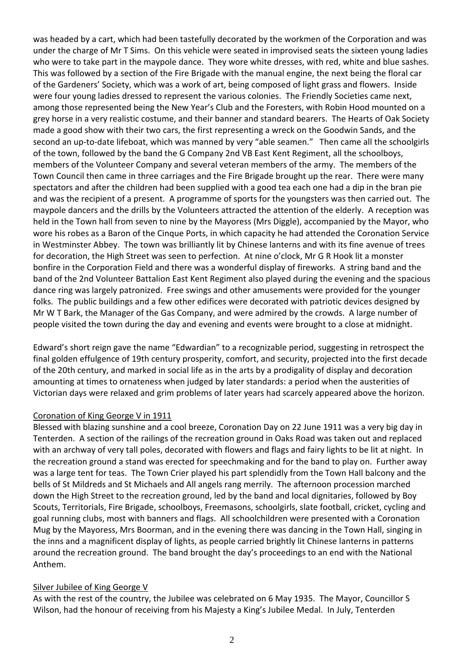was headed by a cart, which had been tastefully decorated by the workmen of the Corporation and was under the charge of Mr T Sims. On this vehicle were seated in improvised seats the sixteen young ladies who were to take part in the maypole dance. They wore white dresses, with red, white and blue sashes. This was followed by a section of the Fire Brigade with the manual engine, the next being the floral car of the Gardeners' Society, which was a work of art, being composed of light grass and flowers. Inside were four young ladies dressed to represent the various colonies. The Friendly Societies came next, among those represented being the New Year's Club and the Foresters, with Robin Hood mounted on a grey horse in a very realistic costume, and their banner and standard bearers. The Hearts of Oak Society made a good show with their two cars, the first representing a wreck on the Goodwin Sands, and the second an up-to-date lifeboat, which was manned by very "able seamen." Then came all the schoolgirls of the town, followed by the band the G Company 2nd VB East Kent Regiment, all the schoolboys, members of the Volunteer Company and several veteran members of the army. The members of the Town Council then came in three carriages and the Fire Brigade brought up the rear. There were many spectators and after the children had been supplied with a good tea each one had a dip in the bran pie and was the recipient of a present. A programme of sports for the youngsters was then carried out. The maypole dancers and the drills by the Volunteers attracted the attention of the elderly. A reception was held in the Town hall from seven to nine by the Mayoress (Mrs Diggle), accompanied by the Mayor, who wore his robes as a Baron of the Cinque Ports, in which capacity he had attended the Coronation Service in Westminster Abbey. The town was brilliantly lit by Chinese lanterns and with its fine avenue of trees for decoration, the High Street was seen to perfection. At nine o'clock, Mr G R Hook lit a monster bonfire in the Corporation Field and there was a wonderful display of fireworks. A string band and the band of the 2nd Volunteer Battalion East Kent Regiment also played during the evening and the spacious dance ring was largely patronized. Free swings and other amusements were provided for the younger folks. The public buildings and a few other edifices were decorated with patriotic devices designed by Mr W T Bark, the Manager of the Gas Company, and were admired by the crowds. A large number of people visited the town during the day and evening and events were brought to a close at midnight.

Edward's short reign gave the name "Edwardian" to a recognizable period, suggesting in retrospect the final golden effulgence of 19th century prosperity, comfort, and security, projected into the first decade of the 20th century, and marked in social life as in the arts by a prodigality of display and decoration amounting at times to ornateness when judged by later standards: a period when the austerities of Victorian days were relaxed and grim problems of later years had scarcely appeared above the horizon.

#### Coronation of King George V in 1911

Blessed with blazing sunshine and a cool breeze, Coronation Day on 22 June 1911 was a very big day in Tenterden. A section of the railings of the recreation ground in Oaks Road was taken out and replaced with an archway of very tall poles, decorated with flowers and flags and fairy lights to be lit at night. In the recreation ground a stand was erected for speechmaking and for the band to play on. Further away was a large tent for teas. The Town Crier played his part splendidly from the Town Hall balcony and the bells of St Mildreds and St Michaels and All angels rang merrily. The afternoon procession marched down the High Street to the recreation ground, led by the band and local dignitaries, followed by Boy Scouts, Territorials, Fire Brigade, schoolboys, Freemasons, schoolgirls, slate football, cricket, cycling and goal running clubs, most with banners and flags. All schoolchildren were presented with a Coronation Mug by the Mayoress, Mrs Boorman, and in the evening there was dancing in the Town Hall, singing in the inns and a magnificent display of lights, as people carried brightly lit Chinese lanterns in patterns around the recreation ground. The band brought the day's proceedings to an end with the National Anthem.

# Silver Jubilee of King George V

As with the rest of the country, the Jubilee was celebrated on 6 May 1935. The Mayor, Councillor S Wilson, had the honour of receiving from his Majesty a King's Jubilee Medal. In July, Tenterden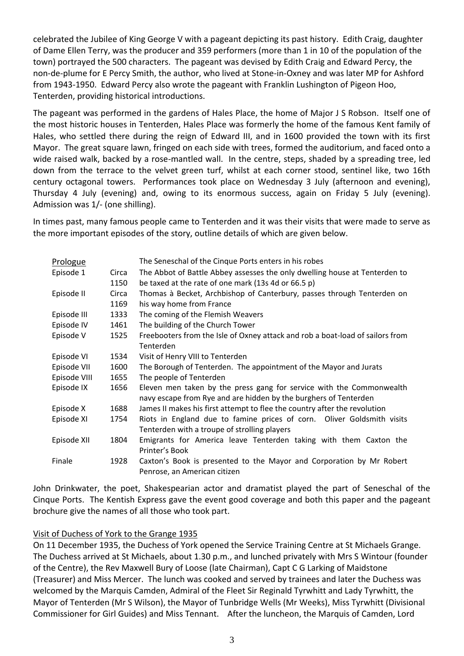celebrated the Jubilee of King George V with a pageant depicting its past history. Edith Craig, daughter of Dame Ellen Terry, was the producer and 359 performers (more than 1 in 10 of the population of the town) portrayed the 500 characters. The pageant was devised by Edith Craig and Edward Percy, the non-de-plume for E Percy Smith, the author, who lived at Stone-in-Oxney and was later MP for Ashford from 1943-1950. Edward Percy also wrote the pageant with Franklin Lushington of Pigeon Hoo, Tenterden, providing historical introductions.

The pageant was performed in the gardens of Hales Place, the home of Major J S Robson. Itself one of the most historic houses in Tenterden, Hales Place was formerly the home of the famous Kent family of Hales, who settled there during the reign of Edward III, and in 1600 provided the town with its first Mayor. The great square lawn, fringed on each side with trees, formed the auditorium, and faced onto a wide raised walk, backed by a rose-mantled wall. In the centre, steps, shaded by a spreading tree, led down from the terrace to the velvet green turf, whilst at each corner stood, sentinel like, two 16th century octagonal towers. Performances took place on Wednesday 3 July (afternoon and evening), Thursday 4 July (evening) and, owing to its enormous success, again on Friday 5 July (evening). Admission was 1/- (one shilling).

In times past, many famous people came to Tenterden and it was their visits that were made to serve as the more important episodes of the story, outline details of which are given below.

| Prologue     |               | The Seneschal of the Cinque Ports enters in his robes                                                                                    |
|--------------|---------------|------------------------------------------------------------------------------------------------------------------------------------------|
| Episode 1    | Circa<br>1150 | The Abbot of Battle Abbey assesses the only dwelling house at Tenterden to<br>be taxed at the rate of one mark (13s 4d or 66.5 p)        |
| Episode II   | Circa         | Thomas à Becket, Archbishop of Canterbury, passes through Tenterden on                                                                   |
|              | 1169          | his way home from France                                                                                                                 |
| Episode III  | 1333          | The coming of the Flemish Weavers                                                                                                        |
| Episode IV   | 1461          | The building of the Church Tower                                                                                                         |
| Episode V    | 1525          | Freebooters from the Isle of Oxney attack and rob a boat-load of sailors from<br>Tenterden                                               |
| Episode VI   | 1534          | Visit of Henry VIII to Tenterden                                                                                                         |
| Episode VII  | 1600          | The Borough of Tenterden. The appointment of the Mayor and Jurats                                                                        |
| Episode VIII | 1655          | The people of Tenterden                                                                                                                  |
| Episode IX   | 1656          | Eleven men taken by the press gang for service with the Commonwealth<br>navy escape from Rye and are hidden by the burghers of Tenterden |
| Episode X    | 1688          | James II makes his first attempt to flee the country after the revolution                                                                |
| Episode XI   | 1754          | Riots in England due to famine prices of corn. Oliver Goldsmith visits                                                                   |
|              |               | Tenterden with a troupe of strolling players                                                                                             |
| Episode XII  | 1804          | Emigrants for America leave Tenterden taking with them Caxton the<br>Printer's Book                                                      |
| Finale       | 1928          | Caxton's Book is presented to the Mayor and Corporation by Mr Robert<br>Penrose, an American citizen                                     |

John Drinkwater, the poet, Shakespearian actor and dramatist played the part of Seneschal of the Cinque Ports. The Kentish Express gave the event good coverage and both this paper and the pageant brochure give the names of all those who took part.

#### Visit of Duchess of York to the Grange 1935

On 11 December 1935, the Duchess of York opened the Service Training Centre at St Michaels Grange. The Duchess arrived at St Michaels, about 1.30 p.m., and lunched privately with Mrs S Wintour (founder of the Centre), the Rev Maxwell Bury of Loose (late Chairman), Capt C G Larking of Maidstone (Treasurer) and Miss Mercer. The lunch was cooked and served by trainees and later the Duchess was welcomed by the Marquis Camden, Admiral of the Fleet Sir Reginald Tyrwhitt and Lady Tyrwhitt, the Mayor of Tenterden (Mr S Wilson), the Mayor of Tunbridge Wells (Mr Weeks), Miss Tyrwhitt (Divisional Commissioner for Girl Guides) and Miss Tennant. After the luncheon, the Marquis of Camden, Lord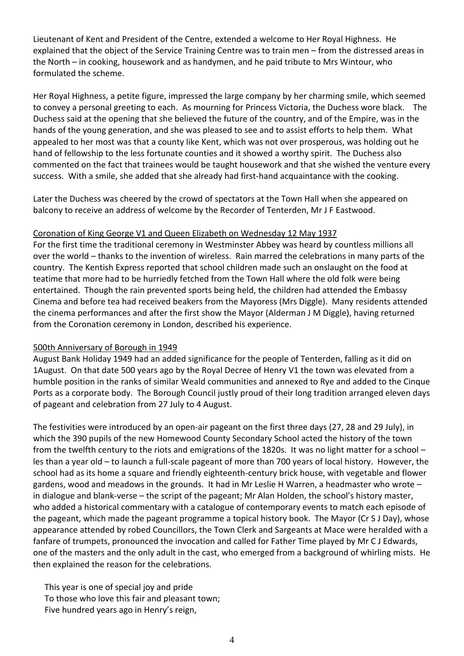Lieutenant of Kent and President of the Centre, extended a welcome to Her Royal Highness. He explained that the object of the Service Training Centre was to train men – from the distressed areas in the North – in cooking, housework and as handymen, and he paid tribute to Mrs Wintour, who formulated the scheme.

Her Royal Highness, a petite figure, impressed the large company by her charming smile, which seemed to convey a personal greeting to each. As mourning for Princess Victoria, the Duchess wore black. The Duchess said at the opening that she believed the future of the country, and of the Empire, was in the hands of the young generation, and she was pleased to see and to assist efforts to help them. What appealed to her most was that a county like Kent, which was not over prosperous, was holding out he hand of fellowship to the less fortunate counties and it showed a worthy spirit. The Duchess also commented on the fact that trainees would be taught housework and that she wished the venture every success. With a smile, she added that she already had first-hand acquaintance with the cooking.

Later the Duchess was cheered by the crowd of spectators at the Town Hall when she appeared on balcony to receive an address of welcome by the Recorder of Tenterden, Mr J F Eastwood.

#### Coronation of King George V1 and Queen Elizabeth on Wednesday 12 May 1937

For the first time the traditional ceremony in Westminster Abbey was heard by countless millions all over the world – thanks to the invention of wireless. Rain marred the celebrations in many parts of the country. The Kentish Express reported that school children made such an onslaught on the food at teatime that more had to be hurriedly fetched from the Town Hall where the old folk were being entertained. Though the rain prevented sports being held, the children had attended the Embassy Cinema and before tea had received beakers from the Mayoress (Mrs Diggle). Many residents attended the cinema performances and after the first show the Mayor (Alderman J M Diggle), having returned from the Coronation ceremony in London, described his experience.

#### 500th Anniversary of Borough in 1949

August Bank Holiday 1949 had an added significance for the people of Tenterden, falling as it did on 1August. On that date 500 years ago by the Royal Decree of Henry V1 the town was elevated from a humble position in the ranks of similar Weald communities and annexed to Rye and added to the Cinque Ports as a corporate body. The Borough Council justly proud of their long tradition arranged eleven days of pageant and celebration from 27 July to 4 August.

The festivities were introduced by an open-air pageant on the first three days (27, 28 and 29 July), in which the 390 pupils of the new Homewood County Secondary School acted the history of the town from the twelfth century to the riots and emigrations of the 1820s. It was no light matter for a school – les than a year old – to launch a full-scale pageant of more than 700 years of local history. However, the school had as its home a square and friendly eighteenth-century brick house, with vegetable and flower gardens, wood and meadows in the grounds. It had in Mr Leslie H Warren, a headmaster who wrote – in dialogue and blank-verse – the script of the pageant; Mr Alan Holden, the school's history master, who added a historical commentary with a catalogue of contemporary events to match each episode of the pageant, which made the pageant programme a topical history book. The Mayor (Cr S J Day), whose appearance attended by robed Councillors, the Town Clerk and Sargeants at Mace were heralded with a fanfare of trumpets, pronounced the invocation and called for Father Time played by Mr C J Edwards, one of the masters and the only adult in the cast, who emerged from a background of whirling mists. He then explained the reason for the celebrations.

This year is one of special joy and pride To those who love this fair and pleasant town; Five hundred years ago in Henry's reign,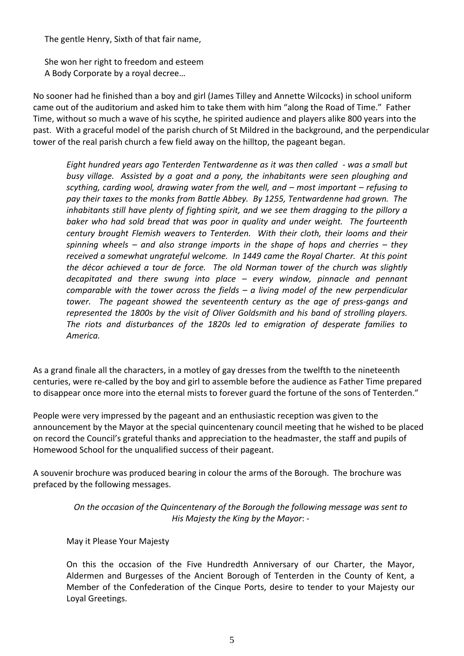The gentle Henry, Sixth of that fair name,

She won her right to freedom and esteem A Body Corporate by a royal decree…

No sooner had he finished than a boy and girl (James Tilley and Annette Wilcocks) in school uniform came out of the auditorium and asked him to take them with him "along the Road of Time." Father Time, without so much a wave of his scythe, he spirited audience and players alike 800 years into the past. With a graceful model of the parish church of St Mildred in the background, and the perpendicular tower of the real parish church a few field away on the hilltop, the pageant began.

*Eight hundred years ago Tenterden Tentwardenne as it was then called - was a small but busy village. Assisted by a goat and a pony, the inhabitants were seen ploughing and scything, carding wool, drawing water from the well, and – most important – refusing to pay their taxes to the monks from Battle Abbey. By 1255, Tentwardenne had grown. The inhabitants still have plenty of fighting spirit, and we see them dragging to the pillory a baker who had sold bread that was poor in quality and under weight. The fourteenth century brought Flemish weavers to Tenterden. With their cloth, their looms and their spinning wheels – and also strange imports in the shape of hops and cherries – they received a somewhat ungrateful welcome. In 1449 came the Royal Charter. At this point the décor achieved a tour de force. The old Norman tower of the church was slightly decapitated and there swung into place – every window, pinnacle and pennant comparable with the tower across the fields – a living model of the new perpendicular tower. The pageant showed the seventeenth century as the age of press-gangs and represented the 1800s by the visit of Oliver Goldsmith and his band of strolling players. The riots and disturbances of the 1820s led to emigration of desperate families to America.*

As a grand finale all the characters, in a motley of gay dresses from the twelfth to the nineteenth centuries, were re-called by the boy and girl to assemble before the audience as Father Time prepared to disappear once more into the eternal mists to forever guard the fortune of the sons of Tenterden."

People were very impressed by the pageant and an enthusiastic reception was given to the announcement by the Mayor at the special quincentenary council meeting that he wished to be placed on record the Council's grateful thanks and appreciation to the headmaster, the staff and pupils of Homewood School for the unqualified success of their pageant.

A souvenir brochure was produced bearing in colour the arms of the Borough. The brochure was prefaced by the following messages.

> *On the occasion of the Quincentenary of the Borough the following message was sent to His Majesty the King by the Mayor*: -

May it Please Your Majesty

On this the occasion of the Five Hundredth Anniversary of our Charter, the Mayor, Aldermen and Burgesses of the Ancient Borough of Tenterden in the County of Kent, a Member of the Confederation of the Cinque Ports, desire to tender to your Majesty our Loyal Greetings.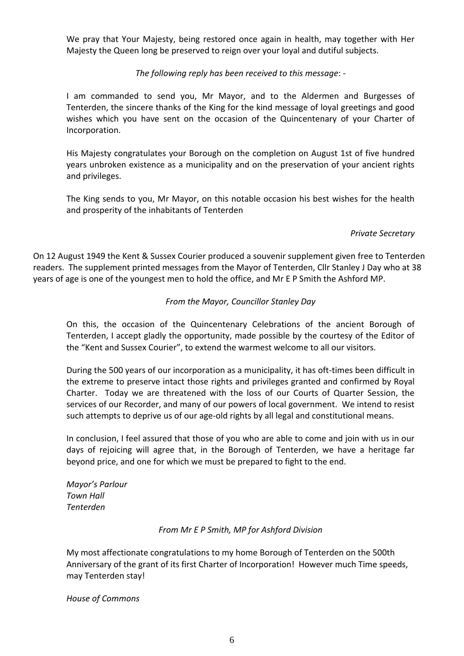We pray that Your Majesty, being restored once again in health, may together with Her Majesty the Queen long be preserved to reign over your loyal and dutiful subjects.

*The following reply has been received to this message*: -

I am commanded to send you, Mr Mayor, and to the Aldermen and Burgesses of Tenterden, the sincere thanks of the King for the kind message of loyal greetings and good wishes which you have sent on the occasion of the Quincentenary of your Charter of Incorporation.

His Majesty congratulates your Borough on the completion on August 1st of five hundred years unbroken existence as a municipality and on the preservation of your ancient rights and privileges.

The King sends to you, Mr Mayor, on this notable occasion his best wishes for the health and prosperity of the inhabitants of Tenterden

#### *Private Secretary*

On 12 August 1949 the Kent & Sussex Courier produced a souvenir supplement given free to Tenterden readers. The supplement printed messages from the Mayor of Tenterden, Cllr Stanley J Day who at 38 years of age is one of the youngest men to hold the office, and Mr E P Smith the Ashford MP.

#### *From the Mayor, Councillor Stanley Day*

On this, the occasion of the Quincentenary Celebrations of the ancient Borough of Tenterden, I accept gladly the opportunity, made possible by the courtesy of the Editor of the "Kent and Sussex Courier", to extend the warmest welcome to all our visitors.

During the 500 years of our incorporation as a municipality, it has oft-times been difficult in the extreme to preserve intact those rights and privileges granted and confirmed by Royal Charter. Today we are threatened with the loss of our Courts of Quarter Session, the services of our Recorder, and many of our powers of local government. We intend to resist such attempts to deprive us of our age-old rights by all legal and constitutional means.

In conclusion, I feel assured that those of you who are able to come and join with us in our days of rejoicing will agree that, in the Borough of Tenterden, we have a heritage far beyond price, and one for which we must be prepared to fight to the end.

*Mayor's Parlour Town Hall Tenterden*

#### *From Mr E P Smith, MP for Ashford Division*

My most affectionate congratulations to my home Borough of Tenterden on the 500th Anniversary of the grant of its first Charter of Incorporation! However much Time speeds, may Tenterden stay!

*House of Commons*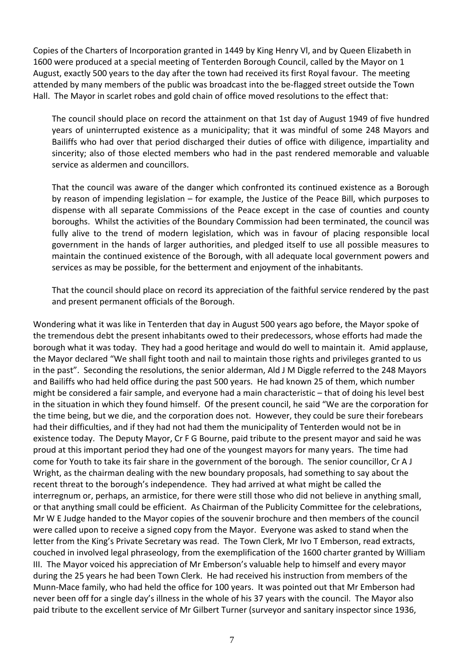Copies of the Charters of Incorporation granted in 1449 by King Henry Vl, and by Queen Elizabeth in 1600 were produced at a special meeting of Tenterden Borough Council, called by the Mayor on 1 August, exactly 500 years to the day after the town had received its first Royal favour. The meeting attended by many members of the public was broadcast into the be-flagged street outside the Town Hall. The Mayor in scarlet robes and gold chain of office moved resolutions to the effect that:

The council should place on record the attainment on that 1st day of August 1949 of five hundred years of uninterrupted existence as a municipality; that it was mindful of some 248 Mayors and Bailiffs who had over that period discharged their duties of office with diligence, impartiality and sincerity; also of those elected members who had in the past rendered memorable and valuable service as aldermen and councillors.

That the council was aware of the danger which confronted its continued existence as a Borough by reason of impending legislation – for example, the Justice of the Peace Bill, which purposes to dispense with all separate Commissions of the Peace except in the case of counties and county boroughs. Whilst the activities of the Boundary Commission had been terminated, the council was fully alive to the trend of modern legislation, which was in favour of placing responsible local government in the hands of larger authorities, and pledged itself to use all possible measures to maintain the continued existence of the Borough, with all adequate local government powers and services as may be possible, for the betterment and enjoyment of the inhabitants.

That the council should place on record its appreciation of the faithful service rendered by the past and present permanent officials of the Borough.

Wondering what it was like in Tenterden that day in August 500 years ago before, the Mayor spoke of the tremendous debt the present inhabitants owed to their predecessors, whose efforts had made the borough what it was today. They had a good heritage and would do well to maintain it. Amid applause, the Mayor declared "We shall fight tooth and nail to maintain those rights and privileges granted to us in the past". Seconding the resolutions, the senior alderman, Ald J M Diggle referred to the 248 Mayors and Bailiffs who had held office during the past 500 years. He had known 25 of them, which number might be considered a fair sample, and everyone had a main characteristic – that of doing his level best in the situation in which they found himself. Of the present council, he said "We are the corporation for the time being, but we die, and the corporation does not. However, they could be sure their forebears had their difficulties, and if they had not had them the municipality of Tenterden would not be in existence today. The Deputy Mayor, Cr F G Bourne, paid tribute to the present mayor and said he was proud at this important period they had one of the youngest mayors for many years. The time had come for Youth to take its fair share in the government of the borough. The senior councillor, Cr A J Wright, as the chairman dealing with the new boundary proposals, had something to say about the recent threat to the borough's independence. They had arrived at what might be called the interregnum or, perhaps, an armistice, for there were still those who did not believe in anything small, or that anything small could be efficient. As Chairman of the Publicity Committee for the celebrations, Mr W E Judge handed to the Mayor copies of the souvenir brochure and then members of the council were called upon to receive a signed copy from the Mayor. Everyone was asked to stand when the letter from the King's Private Secretary was read. The Town Clerk, Mr Ivo T Emberson, read extracts, couched in involved legal phraseology, from the exemplification of the 1600 charter granted by William III. The Mayor voiced his appreciation of Mr Emberson's valuable help to himself and every mayor during the 25 years he had been Town Clerk. He had received his instruction from members of the Munn-Mace family, who had held the office for 100 years. It was pointed out that Mr Emberson had never been off for a single day's illness in the whole of his 37 years with the council. The Mayor also paid tribute to the excellent service of Mr Gilbert Turner (surveyor and sanitary inspector since 1936,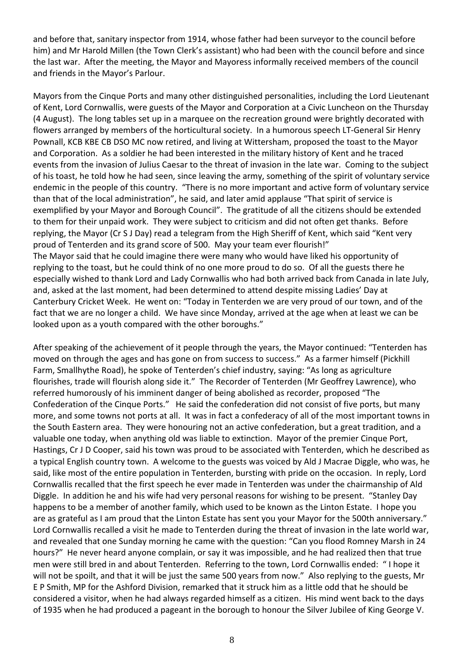and before that, sanitary inspector from 1914, whose father had been surveyor to the council before him) and Mr Harold Millen (the Town Clerk's assistant) who had been with the council before and since the last war. After the meeting, the Mayor and Mayoress informally received members of the council and friends in the Mayor's Parlour.

Mayors from the Cinque Ports and many other distinguished personalities, including the Lord Lieutenant of Kent, Lord Cornwallis, were guests of the Mayor and Corporation at a Civic Luncheon on the Thursday (4 August). The long tables set up in a marquee on the recreation ground were brightly decorated with flowers arranged by members of the horticultural society. In a humorous speech LT-General Sir Henry Pownall, KCB KBE CB DSO MC now retired, and living at Wittersham, proposed the toast to the Mayor and Corporation. As a soldier he had been interested in the military history of Kent and he traced events from the invasion of Julius Caesar to the threat of invasion in the late war. Coming to the subject of his toast, he told how he had seen, since leaving the army, something of the spirit of voluntary service endemic in the people of this country. "There is no more important and active form of voluntary service than that of the local administration", he said, and later amid applause "That spirit of service is exemplified by your Mayor and Borough Council". The gratitude of all the citizens should be extended to them for their unpaid work. They were subject to criticism and did not often get thanks. Before replying, the Mayor (Cr S J Day) read a telegram from the High Sheriff of Kent, which said "Kent very proud of Tenterden and its grand score of 500. May your team ever flourish!" The Mayor said that he could imagine there were many who would have liked his opportunity of replying to the toast, but he could think of no one more proud to do so. Of all the guests there he especially wished to thank Lord and Lady Cornwallis who had both arrived back from Canada in late July, and, asked at the last moment, had been determined to attend despite missing Ladies' Day at Canterbury Cricket Week. He went on: "Today in Tenterden we are very proud of our town, and of the fact that we are no longer a child. We have since Monday, arrived at the age when at least we can be looked upon as a youth compared with the other boroughs."

After speaking of the achievement of it people through the years, the Mayor continued: "Tenterden has moved on through the ages and has gone on from success to success." As a farmer himself (Pickhill Farm, Smallhythe Road), he spoke of Tenterden's chief industry, saying: "As long as agriculture flourishes, trade will flourish along side it." The Recorder of Tenterden (Mr Geoffrey Lawrence), who referred humorously of his imminent danger of being abolished as recorder, proposed "The Confederation of the Cinque Ports." He said the confederation did not consist of five ports, but many more, and some towns not ports at all. It was in fact a confederacy of all of the most important towns in the South Eastern area. They were honouring not an active confederation, but a great tradition, and a valuable one today, when anything old was liable to extinction. Mayor of the premier Cinque Port, Hastings, Cr J D Cooper, said his town was proud to be associated with Tenterden, which he described as a typical English country town. A welcome to the guests was voiced by Ald J Macrae Diggle, who was, he said, like most of the entire population in Tenterden, bursting with pride on the occasion. In reply, Lord Cornwallis recalled that the first speech he ever made in Tenterden was under the chairmanship of Ald Diggle. In addition he and his wife had very personal reasons for wishing to be present. "Stanley Day happens to be a member of another family, which used to be known as the Linton Estate. I hope you are as grateful as I am proud that the Linton Estate has sent you your Mayor for the 500th anniversary." Lord Cornwallis recalled a visit he made to Tenterden during the threat of invasion in the late world war, and revealed that one Sunday morning he came with the question: "Can you flood Romney Marsh in 24 hours?" He never heard anyone complain, or say it was impossible, and he had realized then that true men were still bred in and about Tenterden. Referring to the town, Lord Cornwallis ended: " I hope it will not be spoilt, and that it will be just the same 500 years from now." Also replying to the guests, Mr E P Smith, MP for the Ashford Division, remarked that it struck him as a little odd that he should be considered a visitor, when he had always regarded himself as a citizen. His mind went back to the days of 1935 when he had produced a pageant in the borough to honour the Silver Jubilee of King George V.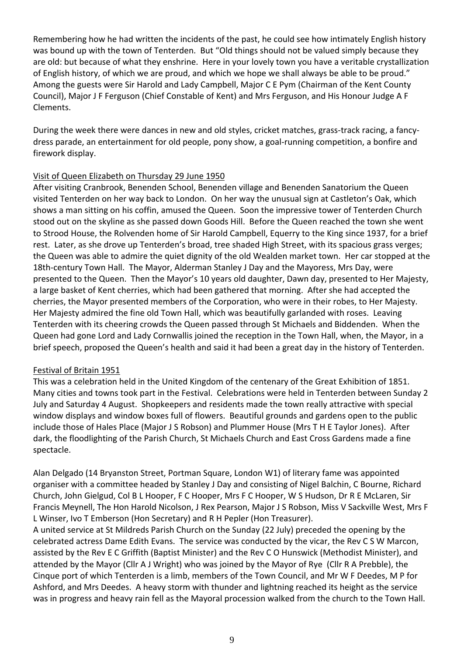Remembering how he had written the incidents of the past, he could see how intimately English history was bound up with the town of Tenterden. But "Old things should not be valued simply because they are old: but because of what they enshrine. Here in your lovely town you have a veritable crystallization of English history, of which we are proud, and which we hope we shall always be able to be proud." Among the guests were Sir Harold and Lady Campbell, Major C E Pym (Chairman of the Kent County Council), Major J F Ferguson (Chief Constable of Kent) and Mrs Ferguson, and His Honour Judge A F Clements.

During the week there were dances in new and old styles, cricket matches, grass-track racing, a fancydress parade, an entertainment for old people, pony show, a goal-running competition, a bonfire and firework display.

# Visit of Queen Elizabeth on Thursday 29 June 1950

After visiting Cranbrook, Benenden School, Benenden village and Benenden Sanatorium the Queen visited Tenterden on her way back to London. On her way the unusual sign at Castleton's Oak, which shows a man sitting on his coffin, amused the Queen. Soon the impressive tower of Tenterden Church stood out on the skyline as she passed down Goods Hill. Before the Queen reached the town she went to Strood House, the Rolvenden home of Sir Harold Campbell, Equerry to the King since 1937, for a brief rest. Later, as she drove up Tenterden's broad, tree shaded High Street, with its spacious grass verges; the Queen was able to admire the quiet dignity of the old Wealden market town. Her car stopped at the 18th-century Town Hall. The Mayor, Alderman Stanley J Day and the Mayoress, Mrs Day, were presented to the Queen. Then the Mayor's 10 years old daughter, Dawn day, presented to Her Majesty, a large basket of Kent cherries, which had been gathered that morning. After she had accepted the cherries, the Mayor presented members of the Corporation, who were in their robes, to Her Majesty. Her Majesty admired the fine old Town Hall, which was beautifully garlanded with roses. Leaving Tenterden with its cheering crowds the Queen passed through St Michaels and Biddenden. When the Queen had gone Lord and Lady Cornwallis joined the reception in the Town Hall, when, the Mayor, in a brief speech, proposed the Queen's health and said it had been a great day in the history of Tenterden.

# Festival of Britain 1951

This was a celebration held in the United Kingdom of the centenary of the Great Exhibition of 1851. Many cities and towns took part in the Festival. Celebrations were held in Tenterden between Sunday 2 July and Saturday 4 August. Shopkeepers and residents made the town really attractive with special window displays and window boxes full of flowers. Beautiful grounds and gardens open to the public include those of Hales Place (Major J S Robson) and Plummer House (Mrs T H E Taylor Jones). After dark, the floodlighting of the Parish Church, St Michaels Church and East Cross Gardens made a fine spectacle.

Alan Delgado (14 Bryanston Street, Portman Square, London W1) of literary fame was appointed organiser with a committee headed by Stanley J Day and consisting of Nigel Balchin, C Bourne, Richard Church, John Gielgud, Col B L Hooper, F C Hooper, Mrs F C Hooper, W S Hudson, Dr R E McLaren, Sir Francis Meynell, The Hon Harold Nicolson, J Rex Pearson, Major J S Robson, Miss V Sackville West, Mrs F L Winser, Ivo T Emberson (Hon Secretary) and R H Pepler (Hon Treasurer).

A united service at St Mildreds Parish Church on the Sunday (22 July) preceded the opening by the celebrated actress Dame Edith Evans. The service was conducted by the vicar, the Rev C S W Marcon, assisted by the Rev E C Griffith (Baptist Minister) and the Rev C O Hunswick (Methodist Minister), and attended by the Mayor (Cllr A J Wright) who was joined by the Mayor of Rye (Cllr R A Prebble), the Cinque port of which Tenterden is a limb, members of the Town Council, and Mr W F Deedes, M P for Ashford, and Mrs Deedes. A heavy storm with thunder and lightning reached its height as the service was in progress and heavy rain fell as the Mayoral procession walked from the church to the Town Hall.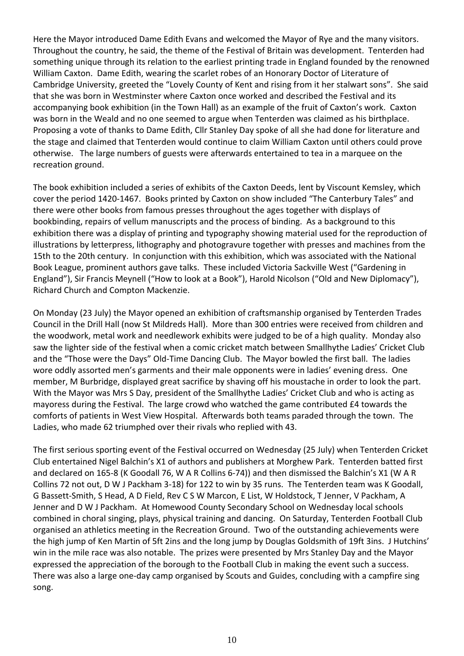Here the Mayor introduced Dame Edith Evans and welcomed the Mayor of Rye and the many visitors. Throughout the country, he said, the theme of the Festival of Britain was development. Tenterden had something unique through its relation to the earliest printing trade in England founded by the renowned William Caxton. Dame Edith, wearing the scarlet robes of an Honorary Doctor of Literature of Cambridge University, greeted the "Lovely County of Kent and rising from it her stalwart sons". She said that she was born in Westminster where Caxton once worked and described the Festival and its accompanying book exhibition (in the Town Hall) as an example of the fruit of Caxton's work. Caxton was born in the Weald and no one seemed to argue when Tenterden was claimed as his birthplace. Proposing a vote of thanks to Dame Edith, Cllr Stanley Day spoke of all she had done for literature and the stage and claimed that Tenterden would continue to claim William Caxton until others could prove otherwise. The large numbers of guests were afterwards entertained to tea in a marquee on the recreation ground.

The book exhibition included a series of exhibits of the Caxton Deeds, lent by Viscount Kemsley, which cover the period 1420-1467. Books printed by Caxton on show included "The Canterbury Tales" and there were other books from famous presses throughout the ages together with displays of bookbinding, repairs of vellum manuscripts and the process of binding. As a background to this exhibition there was a display of printing and typography showing material used for the reproduction of illustrations by letterpress, lithography and photogravure together with presses and machines from the 15th to the 20th century. In conjunction with this exhibition, which was associated with the National Book League, prominent authors gave talks. These included Victoria Sackville West ("Gardening in England"), Sir Francis Meynell ("How to look at a Book"), Harold Nicolson ("Old and New Diplomacy"), Richard Church and Compton Mackenzie.

On Monday (23 July) the Mayor opened an exhibition of craftsmanship organised by Tenterden Trades Council in the Drill Hall (now St Mildreds Hall). More than 300 entries were received from children and the woodwork, metal work and needlework exhibits were judged to be of a high quality. Monday also saw the lighter side of the festival when a comic cricket match between Smallhythe Ladies' Cricket Club and the "Those were the Days" Old-Time Dancing Club. The Mayor bowled the first ball. The ladies wore oddly assorted men's garments and their male opponents were in ladies' evening dress. One member, M Burbridge, displayed great sacrifice by shaving off his moustache in order to look the part. With the Mayor was Mrs S Day, president of the Smallhythe Ladies' Cricket Club and who is acting as mayoress during the Festival. The large crowd who watched the game contributed £4 towards the comforts of patients in West View Hospital. Afterwards both teams paraded through the town. The Ladies, who made 62 triumphed over their rivals who replied with 43.

The first serious sporting event of the Festival occurred on Wednesday (25 July) when Tenterden Cricket Club entertained Nigel Balchin's X1 of authors and publishers at Morghew Park. Tenterden batted first and declared on 165-8 (K Goodall 76, W A R Collins 6-74)) and then dismissed the Balchin's X1 (W A R Collins 72 not out, D W J Packham 3-18) for 122 to win by 35 runs. The Tenterden team was K Goodall, G Bassett-Smith, S Head, A D Field, Rev C S W Marcon, E List, W Holdstock, T Jenner, V Packham, A Jenner and D W J Packham. At Homewood County Secondary School on Wednesday local schools combined in choral singing, plays, physical training and dancing. On Saturday, Tenterden Football Club organised an athletics meeting in the Recreation Ground. Two of the outstanding achievements were the high jump of Ken Martin of 5ft 2ins and the long jump by Douglas Goldsmith of 19ft 3ins. J Hutchins' win in the mile race was also notable. The prizes were presented by Mrs Stanley Day and the Mayor expressed the appreciation of the borough to the Football Club in making the event such a success. There was also a large one-day camp organised by Scouts and Guides, concluding with a campfire sing song.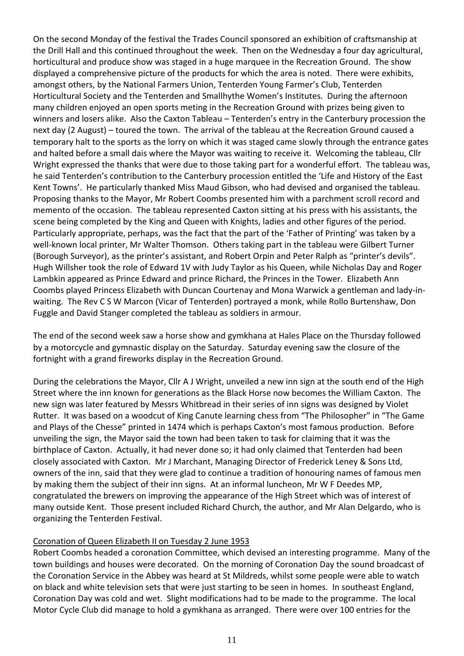On the second Monday of the festival the Trades Council sponsored an exhibition of craftsmanship at the Drill Hall and this continued throughout the week. Then on the Wednesday a four day agricultural, horticultural and produce show was staged in a huge marquee in the Recreation Ground. The show displayed a comprehensive picture of the products for which the area is noted. There were exhibits, amongst others, by the National Farmers Union, Tenterden Young Farmer's Club, Tenterden Horticultural Society and the Tenterden and Smallhythe Women's Institutes. During the afternoon many children enjoyed an open sports meting in the Recreation Ground with prizes being given to winners and losers alike. Also the Caxton Tableau – Tenterden's entry in the Canterbury procession the next day (2 August) – toured the town. The arrival of the tableau at the Recreation Ground caused a temporary halt to the sports as the lorry on which it was staged came slowly through the entrance gates and halted before a small dais where the Mayor was waiting to receive it. Welcoming the tableau, Cllr Wright expressed the thanks that were due to those taking part for a wonderful effort. The tableau was, he said Tenterden's contribution to the Canterbury procession entitled the 'Life and History of the East Kent Towns'. He particularly thanked Miss Maud Gibson, who had devised and organised the tableau. Proposing thanks to the Mayor, Mr Robert Coombs presented him with a parchment scroll record and memento of the occasion. The tableau represented Caxton sitting at his press with his assistants, the scene being completed by the King and Queen with Knights, ladies and other figures of the period. Particularly appropriate, perhaps, was the fact that the part of the 'Father of Printing' was taken by a well-known local printer, Mr Walter Thomson. Others taking part in the tableau were Gilbert Turner (Borough Surveyor), as the printer's assistant, and Robert Orpin and Peter Ralph as "printer's devils". Hugh Willsher took the role of Edward 1V with Judy Taylor as his Queen, while Nicholas Day and Roger Lambkin appeared as Prince Edward and prince Richard, the Princes in the Tower. Elizabeth Ann Coombs played Princess Elizabeth with Duncan Courtenay and Mona Warwick a gentleman and lady-inwaiting. The Rev C S W Marcon (Vicar of Tenterden) portrayed a monk, while Rollo Burtenshaw, Don Fuggle and David Stanger completed the tableau as soldiers in armour.

The end of the second week saw a horse show and gymkhana at Hales Place on the Thursday followed by a motorcycle and gymnastic display on the Saturday. Saturday evening saw the closure of the fortnight with a grand fireworks display in the Recreation Ground.

During the celebrations the Mayor, Cllr A J Wright, unveiled a new inn sign at the south end of the High Street where the inn known for generations as the Black Horse now becomes the William Caxton. The new sign was later featured by Messrs Whitbread in their series of inn signs was designed by Violet Rutter. It was based on a woodcut of King Canute learning chess from "The Philosopher" in "The Game and Plays of the Chesse" printed in 1474 which is perhaps Caxton's most famous production. Before unveiling the sign, the Mayor said the town had been taken to task for claiming that it was the birthplace of Caxton. Actually, it had never done so; it had only claimed that Tenterden had been closely associated with Caxton. Mr J Marchant, Managing Director of Frederick Leney & Sons Ltd, owners of the inn, said that they were glad to continue a tradition of honouring names of famous men by making them the subject of their inn signs. At an informal luncheon, Mr W F Deedes MP, congratulated the brewers on improving the appearance of the High Street which was of interest of many outside Kent. Those present included Richard Church, the author, and Mr Alan Delgardo, who is organizing the Tenterden Festival.

# Coronation of Queen Elizabeth II on Tuesday 2 June 1953

Robert Coombs headed a coronation Committee, which devised an interesting programme. Many of the town buildings and houses were decorated. On the morning of Coronation Day the sound broadcast of the Coronation Service in the Abbey was heard at St Mildreds, whilst some people were able to watch on black and white television sets that were just starting to be seen in homes. In southeast England, Coronation Day was cold and wet. Slight modifications had to be made to the programme. The local Motor Cycle Club did manage to hold a gymkhana as arranged. There were over 100 entries for the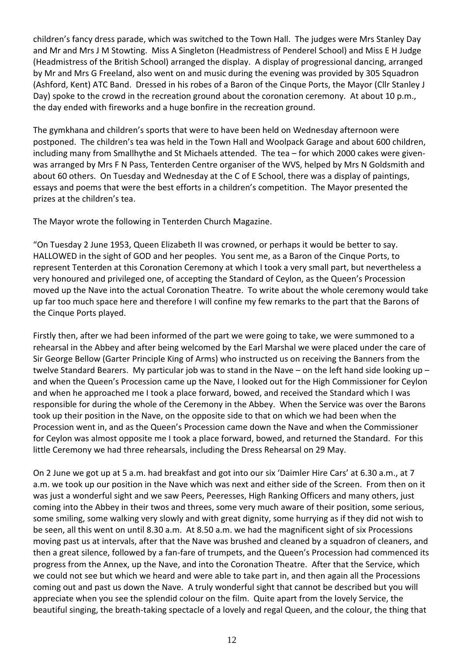children's fancy dress parade, which was switched to the Town Hall. The judges were Mrs Stanley Day and Mr and Mrs J M Stowting. Miss A Singleton (Headmistress of Penderel School) and Miss E H Judge (Headmistress of the British School) arranged the display. A display of progressional dancing, arranged by Mr and Mrs G Freeland, also went on and music during the evening was provided by 305 Squadron (Ashford, Kent) ATC Band. Dressed in his robes of a Baron of the Cinque Ports, the Mayor (Cllr Stanley J Day) spoke to the crowd in the recreation ground about the coronation ceremony. At about 10 p.m., the day ended with fireworks and a huge bonfire in the recreation ground.

The gymkhana and children's sports that were to have been held on Wednesday afternoon were postponed. The children's tea was held in the Town Hall and Woolpack Garage and about 600 children, including many from Smallhythe and St Michaels attended. The tea – for which 2000 cakes were givenwas arranged by Mrs F N Pass, Tenterden Centre organiser of the WVS, helped by Mrs N Goldsmith and about 60 others. On Tuesday and Wednesday at the C of E School, there was a display of paintings, essays and poems that were the best efforts in a children's competition. The Mayor presented the prizes at the children's tea.

The Mayor wrote the following in Tenterden Church Magazine.

"On Tuesday 2 June 1953, Queen Elizabeth II was crowned, or perhaps it would be better to say. HALLOWED in the sight of GOD and her peoples. You sent me, as a Baron of the Cinque Ports, to represent Tenterden at this Coronation Ceremony at which I took a very small part, but nevertheless a very honoured and privileged one, of accepting the Standard of Ceylon, as the Queen's Procession moved up the Nave into the actual Coronation Theatre. To write about the whole ceremony would take up far too much space here and therefore I will confine my few remarks to the part that the Barons of the Cinque Ports played.

Firstly then, after we had been informed of the part we were going to take, we were summoned to a rehearsal in the Abbey and after being welcomed by the Earl Marshal we were placed under the care of Sir George Bellow (Garter Principle King of Arms) who instructed us on receiving the Banners from the twelve Standard Bearers. My particular job was to stand in the Nave – on the left hand side looking up – and when the Queen's Procession came up the Nave, I looked out for the High Commissioner for Ceylon and when he approached me I took a place forward, bowed, and received the Standard which I was responsible for during the whole of the Ceremony in the Abbey. When the Service was over the Barons took up their position in the Nave, on the opposite side to that on which we had been when the Procession went in, and as the Queen's Procession came down the Nave and when the Commissioner for Ceylon was almost opposite me I took a place forward, bowed, and returned the Standard. For this little Ceremony we had three rehearsals, including the Dress Rehearsal on 29 May.

On 2 June we got up at 5 a.m. had breakfast and got into our six 'Daimler Hire Cars' at 6.30 a.m., at 7 a.m. we took up our position in the Nave which was next and either side of the Screen. From then on it was just a wonderful sight and we saw Peers, Peeresses, High Ranking Officers and many others, just coming into the Abbey in their twos and threes, some very much aware of their position, some serious, some smiling, some walking very slowly and with great dignity, some hurrying as if they did not wish to be seen, all this went on until 8.30 a.m. At 8.50 a.m. we had the magnificent sight of six Processions moving past us at intervals, after that the Nave was brushed and cleaned by a squadron of cleaners, and then a great silence, followed by a fan-fare of trumpets, and the Queen's Procession had commenced its progress from the Annex, up the Nave, and into the Coronation Theatre. After that the Service, which we could not see but which we heard and were able to take part in, and then again all the Processions coming out and past us down the Nave. A truly wonderful sight that cannot be described but you will appreciate when you see the splendid colour on the film. Quite apart from the lovely Service, the beautiful singing, the breath-taking spectacle of a lovely and regal Queen, and the colour, the thing that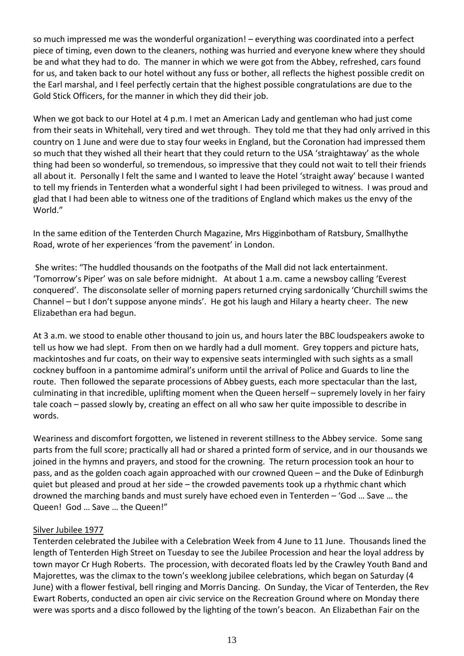so much impressed me was the wonderful organization! – everything was coordinated into a perfect piece of timing, even down to the cleaners, nothing was hurried and everyone knew where they should be and what they had to do. The manner in which we were got from the Abbey, refreshed, cars found for us, and taken back to our hotel without any fuss or bother, all reflects the highest possible credit on the Earl marshal, and I feel perfectly certain that the highest possible congratulations are due to the Gold Stick Officers, for the manner in which they did their job.

When we got back to our Hotel at 4 p.m. I met an American Lady and gentleman who had just come from their seats in Whitehall, very tired and wet through. They told me that they had only arrived in this country on 1 June and were due to stay four weeks in England, but the Coronation had impressed them so much that they wished all their heart that they could return to the USA 'straightaway' as the whole thing had been so wonderful, so tremendous, so impressive that they could not wait to tell their friends all about it. Personally I felt the same and I wanted to leave the Hotel 'straight away' because I wanted to tell my friends in Tenterden what a wonderful sight I had been privileged to witness. I was proud and glad that I had been able to witness one of the traditions of England which makes us the envy of the World."

In the same edition of the Tenterden Church Magazine, Mrs Higginbotham of Ratsbury, Smallhythe Road, wrote of her experiences 'from the pavement' in London.

She writes: "The huddled thousands on the footpaths of the Mall did not lack entertainment. 'Tomorrow's Piper' was on sale before midnight. At about 1 a.m. came a newsboy calling 'Everest conquered'. The disconsolate seller of morning papers returned crying sardonically 'Churchill swims the Channel – but I don't suppose anyone minds'. He got his laugh and Hilary a hearty cheer. The new Elizabethan era had begun.

At 3 a.m. we stood to enable other thousand to join us, and hours later the BBC loudspeakers awoke to tell us how we had slept. From then on we hardly had a dull moment. Grey toppers and picture hats, mackintoshes and fur coats, on their way to expensive seats intermingled with such sights as a small cockney buffoon in a pantomime admiral's uniform until the arrival of Police and Guards to line the route. Then followed the separate processions of Abbey guests, each more spectacular than the last, culminating in that incredible, uplifting moment when the Queen herself – supremely lovely in her fairy tale coach – passed slowly by, creating an effect on all who saw her quite impossible to describe in words.

Weariness and discomfort forgotten, we listened in reverent stillness to the Abbey service. Some sang parts from the full score; practically all had or shared a printed form of service, and in our thousands we joined in the hymns and prayers, and stood for the crowning. The return procession took an hour to pass, and as the golden coach again approached with our crowned Queen – and the Duke of Edinburgh quiet but pleased and proud at her side – the crowded pavements took up a rhythmic chant which drowned the marching bands and must surely have echoed even in Tenterden – 'God … Save … the Queen! God … Save … the Queen!"

# Silver Jubilee 1977

Tenterden celebrated the Jubilee with a Celebration Week from 4 June to 11 June. Thousands lined the length of Tenterden High Street on Tuesday to see the Jubilee Procession and hear the loyal address by town mayor Cr Hugh Roberts. The procession, with decorated floats led by the Crawley Youth Band and Majorettes, was the climax to the town's weeklong jubilee celebrations, which began on Saturday (4 June) with a flower festival, bell ringing and Morris Dancing. On Sunday, the Vicar of Tenterden, the Rev Ewart Roberts, conducted an open air civic service on the Recreation Ground where on Monday there were was sports and a disco followed by the lighting of the town's beacon. An Elizabethan Fair on the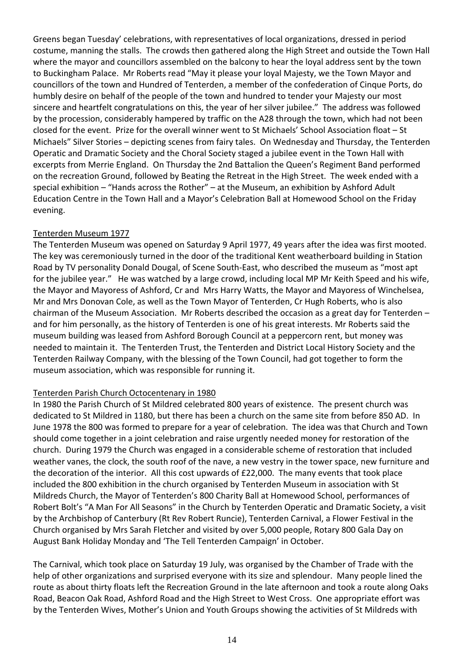Greens began Tuesday' celebrations, with representatives of local organizations, dressed in period costume, manning the stalls. The crowds then gathered along the High Street and outside the Town Hall where the mayor and councillors assembled on the balcony to hear the loyal address sent by the town to Buckingham Palace. Mr Roberts read "May it please your loyal Majesty, we the Town Mayor and councillors of the town and Hundred of Tenterden, a member of the confederation of Cinque Ports, do humbly desire on behalf of the people of the town and hundred to tender your Majesty our most sincere and heartfelt congratulations on this, the year of her silver jubilee." The address was followed by the procession, considerably hampered by traffic on the A28 through the town, which had not been closed for the event. Prize for the overall winner went to St Michaels' School Association float – St Michaels" Silver Stories – depicting scenes from fairy tales. On Wednesday and Thursday, the Tenterden Operatic and Dramatic Society and the Choral Society staged a jubilee event in the Town Hall with excerpts from Merrie England. On Thursday the 2nd Battalion the Queen's Regiment Band performed on the recreation Ground, followed by Beating the Retreat in the High Street. The week ended with a special exhibition – "Hands across the Rother" – at the Museum, an exhibition by Ashford Adult Education Centre in the Town Hall and a Mayor's Celebration Ball at Homewood School on the Friday evening.

# Tenterden Museum 1977

The Tenterden Museum was opened on Saturday 9 April 1977, 49 years after the idea was first mooted. The key was ceremoniously turned in the door of the traditional Kent weatherboard building in Station Road by TV personality Donald Dougal, of Scene South-East, who described the museum as "most apt for the jubilee year." He was watched by a large crowd, including local MP Mr Keith Speed and his wife, the Mayor and Mayoress of Ashford, Cr and Mrs Harry Watts, the Mayor and Mayoress of Winchelsea, Mr and Mrs Donovan Cole, as well as the Town Mayor of Tenterden, Cr Hugh Roberts, who is also chairman of the Museum Association. Mr Roberts described the occasion as a great day for Tenterden – and for him personally, as the history of Tenterden is one of his great interests. Mr Roberts said the museum building was leased from Ashford Borough Council at a peppercorn rent, but money was needed to maintain it. The Tenterden Trust, the Tenterden and District Local History Society and the Tenterden Railway Company, with the blessing of the Town Council, had got together to form the museum association, which was responsible for running it.

# Tenterden Parish Church Octocentenary in 1980

In 1980 the Parish Church of St Mildred celebrated 800 years of existence. The present church was dedicated to St Mildred in 1180, but there has been a church on the same site from before 850 AD. In June 1978 the 800 was formed to prepare for a year of celebration. The idea was that Church and Town should come together in a joint celebration and raise urgently needed money for restoration of the church. During 1979 the Church was engaged in a considerable scheme of restoration that included weather vanes, the clock, the south roof of the nave, a new vestry in the tower space, new furniture and the decoration of the interior. All this cost upwards of £22,000. The many events that took place included the 800 exhibition in the church organised by Tenterden Museum in association with St Mildreds Church, the Mayor of Tenterden's 800 Charity Ball at Homewood School, performances of Robert Bolt's "A Man For All Seasons" in the Church by Tenterden Operatic and Dramatic Society, a visit by the Archbishop of Canterbury (Rt Rev Robert Runcie), Tenterden Carnival, a Flower Festival in the Church organised by Mrs Sarah Fletcher and visited by over 5,000 people, Rotary 800 Gala Day on August Bank Holiday Monday and 'The Tell Tenterden Campaign' in October.

The Carnival, which took place on Saturday 19 July, was organised by the Chamber of Trade with the help of other organizations and surprised everyone with its size and splendour. Many people lined the route as about thirty floats left the Recreation Ground in the late afternoon and took a route along Oaks Road, Beacon Oak Road, Ashford Road and the High Street to West Cross. One appropriate effort was by the Tenterden Wives, Mother's Union and Youth Groups showing the activities of St Mildreds with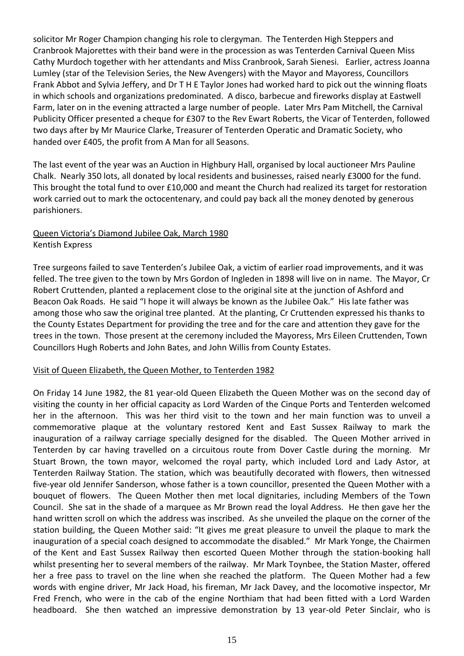solicitor Mr Roger Champion changing his role to clergyman. The Tenterden High Steppers and Cranbrook Majorettes with their band were in the procession as was Tenterden Carnival Queen Miss Cathy Murdoch together with her attendants and Miss Cranbrook, Sarah Sienesi. Earlier, actress Joanna Lumley (star of the Television Series, the New Avengers) with the Mayor and Mayoress, Councillors Frank Abbot and Sylvia Jeffery, and Dr T H E Taylor Jones had worked hard to pick out the winning floats in which schools and organizations predominated. A disco, barbecue and fireworks display at Eastwell Farm, later on in the evening attracted a large number of people. Later Mrs Pam Mitchell, the Carnival Publicity Officer presented a cheque for £307 to the Rev Ewart Roberts, the Vicar of Tenterden, followed two days after by Mr Maurice Clarke, Treasurer of Tenterden Operatic and Dramatic Society, who handed over £405, the profit from A Man for all Seasons.

The last event of the year was an Auction in Highbury Hall, organised by local auctioneer Mrs Pauline Chalk. Nearly 350 lots, all donated by local residents and businesses, raised nearly £3000 for the fund. This brought the total fund to over £10,000 and meant the Church had realized its target for restoration work carried out to mark the octocentenary, and could pay back all the money denoted by generous parishioners.

# Queen Victoria's Diamond Jubilee Oak, March 1980 Kentish Express

Tree surgeons failed to save Tenterden's Jubilee Oak, a victim of earlier road improvements, and it was felled. The tree given to the town by Mrs Gordon of Ingleden in 1898 will live on in name. The Mayor, Cr Robert Cruttenden, planted a replacement close to the original site at the junction of Ashford and Beacon Oak Roads. He said "I hope it will always be known as the Jubilee Oak." His late father was among those who saw the original tree planted. At the planting, Cr Cruttenden expressed his thanks to the County Estates Department for providing the tree and for the care and attention they gave for the trees in the town. Those present at the ceremony included the Mayoress, Mrs Eileen Cruttenden, Town Councillors Hugh Roberts and John Bates, and John Willis from County Estates.

# Visit of Queen Elizabeth, the Queen Mother, to Tenterden 1982

On Friday 14 June 1982, the 81 year-old Queen Elizabeth the Queen Mother was on the second day of visiting the county in her official capacity as Lord Warden of the Cinque Ports and Tenterden welcomed her in the afternoon. This was her third visit to the town and her main function was to unveil a commemorative plaque at the voluntary restored Kent and East Sussex Railway to mark the inauguration of a railway carriage specially designed for the disabled. The Queen Mother arrived in Tenterden by car having travelled on a circuitous route from Dover Castle during the morning. Mr Stuart Brown, the town mayor, welcomed the royal party, which included Lord and Lady Astor, at Tenterden Railway Station. The station, which was beautifully decorated with flowers, then witnessed five-year old Jennifer Sanderson, whose father is a town councillor, presented the Queen Mother with a bouquet of flowers. The Queen Mother then met local dignitaries, including Members of the Town Council. She sat in the shade of a marquee as Mr Brown read the loyal Address. He then gave her the hand written scroll on which the address was inscribed. As she unveiled the plaque on the corner of the station building, the Queen Mother said: "It gives me great pleasure to unveil the plaque to mark the inauguration of a special coach designed to accommodate the disabled." Mr Mark Yonge, the Chairmen of the Kent and East Sussex Railway then escorted Queen Mother through the station-booking hall whilst presenting her to several members of the railway. Mr Mark Toynbee, the Station Master, offered her a free pass to travel on the line when she reached the platform. The Queen Mother had a few words with engine driver, Mr Jack Hoad, his fireman, Mr Jack Davey, and the locomotive inspector, Mr Fred French, who were in the cab of the engine Northiam that had been fitted with a Lord Warden headboard. She then watched an impressive demonstration by 13 year-old Peter Sinclair, who is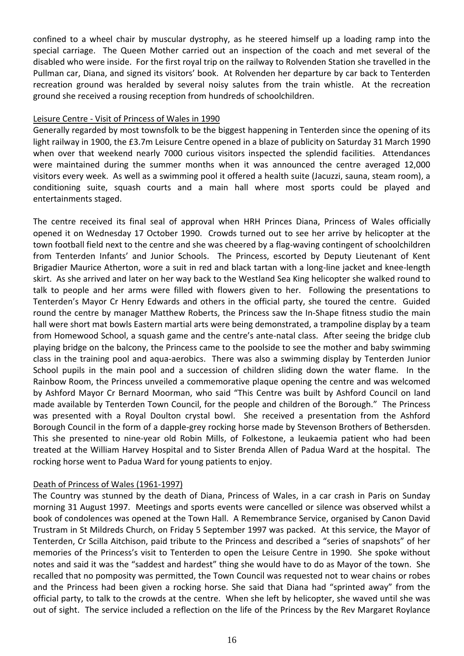confined to a wheel chair by muscular dystrophy, as he steered himself up a loading ramp into the special carriage. The Queen Mother carried out an inspection of the coach and met several of the disabled who were inside. For the first royal trip on the railway to Rolvenden Station she travelled in the Pullman car, Diana, and signed its visitors' book. At Rolvenden her departure by car back to Tenterden recreation ground was heralded by several noisy salutes from the train whistle. At the recreation ground she received a rousing reception from hundreds of schoolchildren.

#### Leisure Centre - Visit of Princess of Wales in 1990

Generally regarded by most townsfolk to be the biggest happening in Tenterden since the opening of its light railway in 1900, the £3.7m Leisure Centre opened in a blaze of publicity on Saturday 31 March 1990 when over that weekend nearly 7000 curious visitors inspected the splendid facilities. Attendances were maintained during the summer months when it was announced the centre averaged 12,000 visitors every week. As well as a swimming pool it offered a health suite (Jacuzzi, sauna, steam room), a conditioning suite, squash courts and a main hall where most sports could be played and entertainments staged.

The centre received its final seal of approval when HRH Princes Diana, Princess of Wales officially opened it on Wednesday 17 October 1990. Crowds turned out to see her arrive by helicopter at the town football field next to the centre and she was cheered by a flag-waving contingent of schoolchildren from Tenterden Infants' and Junior Schools. The Princess, escorted by Deputy Lieutenant of Kent Brigadier Maurice Atherton, wore a suit in red and black tartan with a long-line jacket and knee-length skirt. As she arrived and later on her way back to the Westland Sea King helicopter she walked round to talk to people and her arms were filled with flowers given to her. Following the presentations to Tenterden's Mayor Cr Henry Edwards and others in the official party, she toured the centre. Guided round the centre by manager Matthew Roberts, the Princess saw the In-Shape fitness studio the main hall were short mat bowls Eastern martial arts were being demonstrated, a trampoline display by a team from Homewood School, a squash game and the centre's ante-natal class. After seeing the bridge club playing bridge on the balcony, the Princess came to the poolside to see the mother and baby swimming class in the training pool and aqua-aerobics. There was also a swimming display by Tenterden Junior School pupils in the main pool and a succession of children sliding down the water flame. In the Rainbow Room, the Princess unveiled a commemorative plaque opening the centre and was welcomed by Ashford Mayor Cr Bernard Moorman, who said "This Centre was built by Ashford Council on land made available by Tenterden Town Council, for the people and children of the Borough." The Princess was presented with a Royal Doulton crystal bowl. She received a presentation from the Ashford Borough Council in the form of a dapple-grey rocking horse made by Stevenson Brothers of Bethersden. This she presented to nine-year old Robin Mills, of Folkestone, a leukaemia patient who had been treated at the William Harvey Hospital and to Sister Brenda Allen of Padua Ward at the hospital. The rocking horse went to Padua Ward for young patients to enjoy.

# Death of Princess of Wales (1961-1997)

The Country was stunned by the death of Diana, Princess of Wales, in a car crash in Paris on Sunday morning 31 August 1997. Meetings and sports events were cancelled or silence was observed whilst a book of condolences was opened at the Town Hall. A Remembrance Service, organised by Canon David Trustram in St Mildreds Church, on Friday 5 September 1997 was packed. At this service, the Mayor of Tenterden, Cr Scilla Aitchison, paid tribute to the Princess and described a "series of snapshots" of her memories of the Princess's visit to Tenterden to open the Leisure Centre in 1990. She spoke without notes and said it was the "saddest and hardest" thing she would have to do as Mayor of the town. She recalled that no pomposity was permitted, the Town Council was requested not to wear chains or robes and the Princess had been given a rocking horse. She said that Diana had "sprinted away" from the official party, to talk to the crowds at the centre. When she left by helicopter, she waved until she was out of sight. The service included a reflection on the life of the Princess by the Rev Margaret Roylance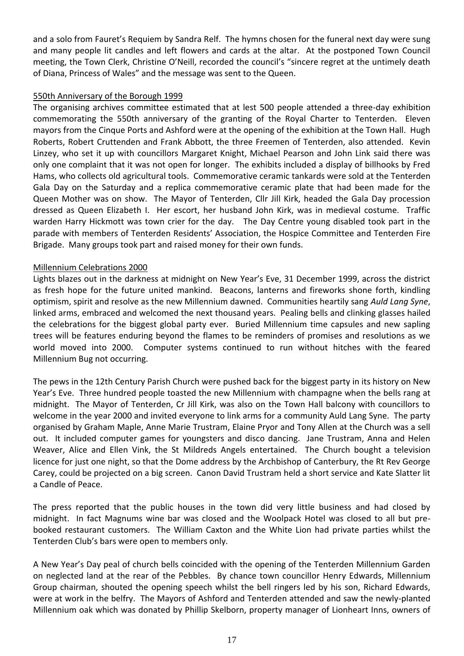and a solo from Fauret's Requiem by Sandra Relf. The hymns chosen for the funeral next day were sung and many people lit candles and left flowers and cards at the altar. At the postponed Town Council meeting, the Town Clerk, Christine O'Neill, recorded the council's "sincere regret at the untimely death of Diana, Princess of Wales" and the message was sent to the Queen.

#### 550th Anniversary of the Borough 1999

The organising archives committee estimated that at lest 500 people attended a three-day exhibition commemorating the 550th anniversary of the granting of the Royal Charter to Tenterden. Eleven mayors from the Cinque Ports and Ashford were at the opening of the exhibition at the Town Hall. Hugh Roberts, Robert Cruttenden and Frank Abbott, the three Freemen of Tenterden, also attended. Kevin Linzey, who set it up with councillors Margaret Knight, Michael Pearson and John Link said there was only one complaint that it was not open for longer. The exhibits included a display of billhooks by Fred Hams, who collects old agricultural tools. Commemorative ceramic tankards were sold at the Tenterden Gala Day on the Saturday and a replica commemorative ceramic plate that had been made for the Queen Mother was on show. The Mayor of Tenterden, Cllr Jill Kirk, headed the Gala Day procession dressed as Queen Elizabeth I. Her escort, her husband John Kirk, was in medieval costume. Traffic warden Harry Hickmott was town crier for the day. The Day Centre young disabled took part in the parade with members of Tenterden Residents' Association, the Hospice Committee and Tenterden Fire Brigade. Many groups took part and raised money for their own funds.

#### Millennium Celebrations 2000

Lights blazes out in the darkness at midnight on New Year's Eve, 31 December 1999, across the district as fresh hope for the future united mankind. Beacons, lanterns and fireworks shone forth, kindling optimism, spirit and resolve as the new Millennium dawned. Communities heartily sang *Auld Lang Syne*, linked arms, embraced and welcomed the next thousand years. Pealing bells and clinking glasses hailed the celebrations for the biggest global party ever. Buried Millennium time capsules and new sapling trees will be features enduring beyond the flames to be reminders of promises and resolutions as we world moved into 2000. Computer systems continued to run without hitches with the feared Millennium Bug not occurring.

The pews in the 12th Century Parish Church were pushed back for the biggest party in its history on New Year's Eve. Three hundred people toasted the new Millennium with champagne when the bells rang at midnight. The Mayor of Tenterden, Cr Jill Kirk, was also on the Town Hall balcony with councillors to welcome in the year 2000 and invited everyone to link arms for a community Auld Lang Syne. The party organised by Graham Maple, Anne Marie Trustram, Elaine Pryor and Tony Allen at the Church was a sell out. It included computer games for youngsters and disco dancing. Jane Trustram, Anna and Helen Weaver, Alice and Ellen Vink, the St Mildreds Angels entertained. The Church bought a television licence for just one night, so that the Dome address by the Archbishop of Canterbury, the Rt Rev George Carey, could be projected on a big screen. Canon David Trustram held a short service and Kate Slatter lit a Candle of Peace.

The press reported that the public houses in the town did very little business and had closed by midnight. In fact Magnums wine bar was closed and the Woolpack Hotel was closed to all but prebooked restaurant customers. The William Caxton and the White Lion had private parties whilst the Tenterden Club's bars were open to members only.

A New Year's Day peal of church bells coincided with the opening of the Tenterden Millennium Garden on neglected land at the rear of the Pebbles. By chance town councillor Henry Edwards, Millennium Group chairman, shouted the opening speech whilst the bell ringers led by his son, Richard Edwards, were at work in the belfry. The Mayors of Ashford and Tenterden attended and saw the newly-planted Millennium oak which was donated by Phillip Skelborn, property manager of Lionheart Inns, owners of